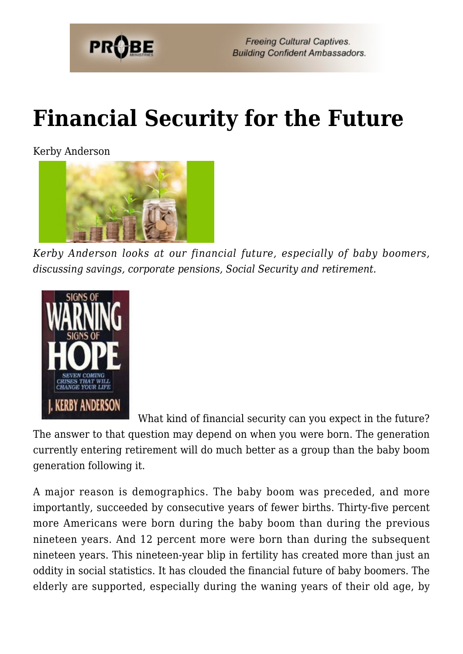

# **[Financial Security for the Future](https://probe.org/financial-security-for-the-future/)**

Kerby Anderson



*Kerby Anderson looks at our financial future, especially of baby boomers, discussing savings, corporate pensions, Social Security and retirement.*



What kind of financial security can you expect in the future? The answer to that question may depend on when you were born. The generation currently entering retirement will do much better as a group than the baby boom generation following it.

A major reason is demographics. The baby boom was preceded, and more importantly, succeeded by consecutive years of fewer births. Thirty-five percent more Americans were born during the baby boom than during the previous nineteen years. And 12 percent more were born than during the subsequent nineteen years. This nineteen-year blip in fertility has created more than just an oddity in social statistics. It has clouded the financial future of baby boomers. The elderly are supported, especially during the waning years of their old age, by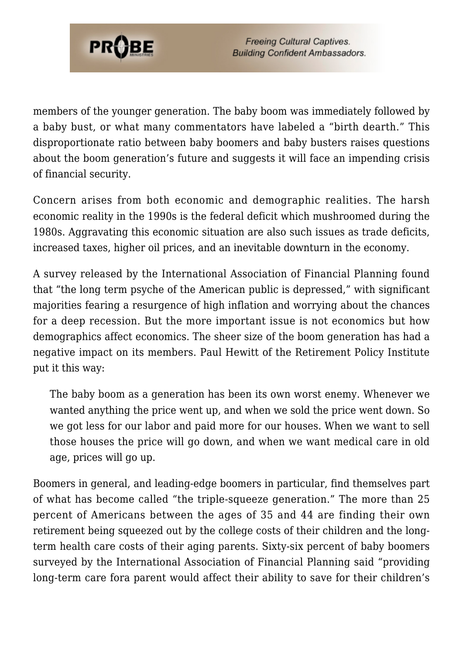

members of the younger generation. The baby boom was immediately followed by a baby bust, or what many commentators have labeled a "birth dearth." This disproportionate ratio between baby boomers and baby busters raises questions about the boom generation's future and suggests it will face an impending crisis of financial security.

Concern arises from both economic and demographic realities. The harsh economic reality in the 1990s is the federal deficit which mushroomed during the 1980s. Aggravating this economic situation are also such issues as trade deficits, increased taxes, higher oil prices, and an inevitable downturn in the economy.

A survey released by the International Association of Financial Planning found that "the long term psyche of the American public is depressed," with significant majorities fearing a resurgence of high inflation and worrying about the chances for a deep recession. But the more important issue is not economics but how demographics affect economics. The sheer size of the boom generation has had a negative impact on its members. Paul Hewitt of the Retirement Policy Institute put it this way:

The baby boom as a generation has been its own worst enemy. Whenever we wanted anything the price went up, and when we sold the price went down. So we got less for our labor and paid more for our houses. When we want to sell those houses the price will go down, and when we want medical care in old age, prices will go up.

Boomers in general, and leading-edge boomers in particular, find themselves part of what has become called "the triple-squeeze generation." The more than 25 percent of Americans between the ages of 35 and 44 are finding their own retirement being squeezed out by the college costs of their children and the longterm health care costs of their aging parents. Sixty-six percent of baby boomers surveyed by the International Association of Financial Planning said "providing long-term care fora parent would affect their ability to save for their children's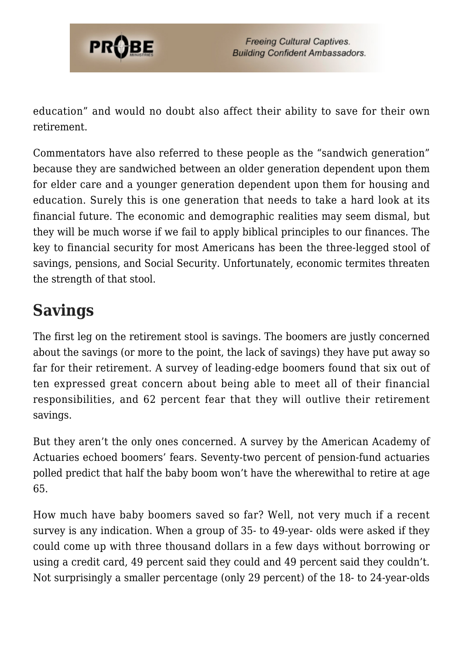

education" and would no doubt also affect their ability to save for their own retirement.

Commentators have also referred to these people as the "sandwich generation" because they are sandwiched between an older generation dependent upon them for elder care and a younger generation dependent upon them for housing and education. Surely this is one generation that needs to take a hard look at its financial future. The economic and demographic realities may seem dismal, but they will be much worse if we fail to apply biblical principles to our finances. The key to financial security for most Americans has been the three-legged stool of savings, pensions, and Social Security. Unfortunately, economic termites threaten the strength of that stool.

## **Savings**

The first leg on the retirement stool is savings. The boomers are justly concerned about the savings (or more to the point, the lack of savings) they have put away so far for their retirement. A survey of leading-edge boomers found that six out of ten expressed great concern about being able to meet all of their financial responsibilities, and 62 percent fear that they will outlive their retirement savings.

But they aren't the only ones concerned. A survey by the American Academy of Actuaries echoed boomers' fears. Seventy-two percent of pension-fund actuaries polled predict that half the baby boom won't have the wherewithal to retire at age 65.

How much have baby boomers saved so far? Well, not very much if a recent survey is any indication. When a group of 35- to 49-year- olds were asked if they could come up with three thousand dollars in a few days without borrowing or using a credit card, 49 percent said they could and 49 percent said they couldn't. Not surprisingly a smaller percentage (only 29 percent) of the 18- to 24-year-olds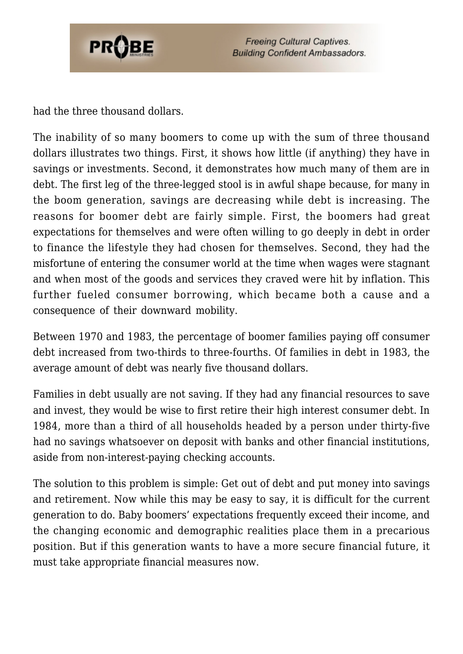

had the three thousand dollars.

The inability of so many boomers to come up with the sum of three thousand dollars illustrates two things. First, it shows how little (if anything) they have in savings or investments. Second, it demonstrates how much many of them are in debt. The first leg of the three-legged stool is in awful shape because, for many in the boom generation, savings are decreasing while debt is increasing. The reasons for boomer debt are fairly simple. First, the boomers had great expectations for themselves and were often willing to go deeply in debt in order to finance the lifestyle they had chosen for themselves. Second, they had the misfortune of entering the consumer world at the time when wages were stagnant and when most of the goods and services they craved were hit by inflation. This further fueled consumer borrowing, which became both a cause and a consequence of their downward mobility.

Between 1970 and 1983, the percentage of boomer families paying off consumer debt increased from two-thirds to three-fourths. Of families in debt in 1983, the average amount of debt was nearly five thousand dollars.

Families in debt usually are not saving. If they had any financial resources to save and invest, they would be wise to first retire their high interest consumer debt. In 1984, more than a third of all households headed by a person under thirty-five had no savings whatsoever on deposit with banks and other financial institutions, aside from non-interest-paying checking accounts.

The solution to this problem is simple: Get out of debt and put money into savings and retirement. Now while this may be easy to say, it is difficult for the current generation to do. Baby boomers' expectations frequently exceed their income, and the changing economic and demographic realities place them in a precarious position. But if this generation wants to have a more secure financial future, it must take appropriate financial measures now.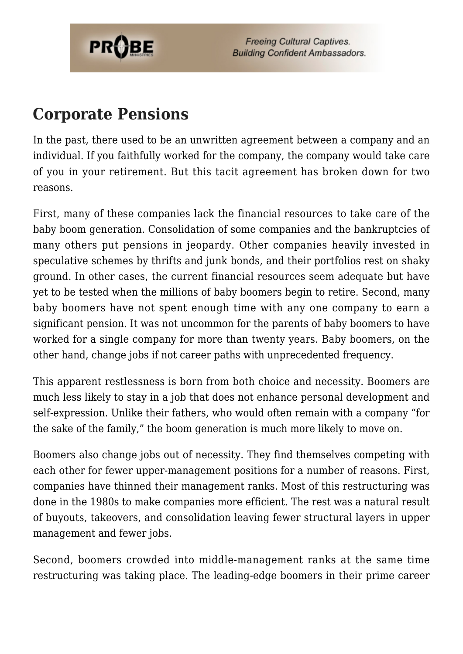

#### **Corporate Pensions**

In the past, there used to be an unwritten agreement between a company and an individual. If you faithfully worked for the company, the company would take care of you in your retirement. But this tacit agreement has broken down for two reasons.

First, many of these companies lack the financial resources to take care of the baby boom generation. Consolidation of some companies and the bankruptcies of many others put pensions in jeopardy. Other companies heavily invested in speculative schemes by thrifts and junk bonds, and their portfolios rest on shaky ground. In other cases, the current financial resources seem adequate but have yet to be tested when the millions of baby boomers begin to retire. Second, many baby boomers have not spent enough time with any one company to earn a significant pension. It was not uncommon for the parents of baby boomers to have worked for a single company for more than twenty years. Baby boomers, on the other hand, change jobs if not career paths with unprecedented frequency.

This apparent restlessness is born from both choice and necessity. Boomers are much less likely to stay in a job that does not enhance personal development and self-expression. Unlike their fathers, who would often remain with a company "for the sake of the family," the boom generation is much more likely to move on.

Boomers also change jobs out of necessity. They find themselves competing with each other for fewer upper-management positions for a number of reasons. First, companies have thinned their management ranks. Most of this restructuring was done in the 1980s to make companies more efficient. The rest was a natural result of buyouts, takeovers, and consolidation leaving fewer structural layers in upper management and fewer jobs.

Second, boomers crowded into middle-management ranks at the same time restructuring was taking place. The leading-edge boomers in their prime career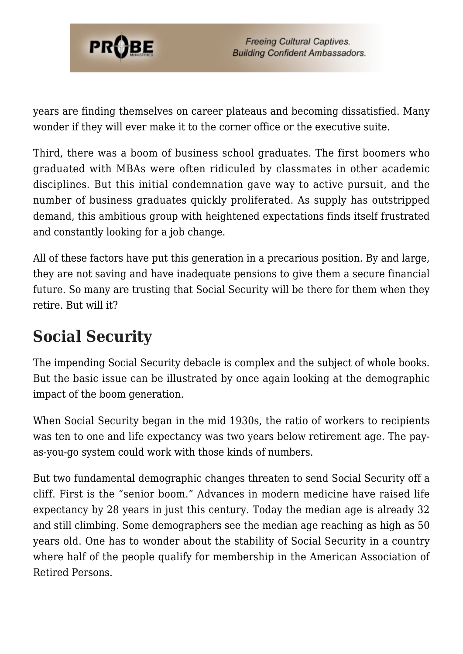

years are finding themselves on career plateaus and becoming dissatisfied. Many wonder if they will ever make it to the corner office or the executive suite.

Third, there was a boom of business school graduates. The first boomers who graduated with MBAs were often ridiculed by classmates in other academic disciplines. But this initial condemnation gave way to active pursuit, and the number of business graduates quickly proliferated. As supply has outstripped demand, this ambitious group with heightened expectations finds itself frustrated and constantly looking for a job change.

All of these factors have put this generation in a precarious position. By and large, they are not saving and have inadequate pensions to give them a secure financial future. So many are trusting that Social Security will be there for them when they retire. But will it?

## **Social Security**

The impending Social Security debacle is complex and the subject of whole books. But the basic issue can be illustrated by once again looking at the demographic impact of the boom generation.

When Social Security began in the mid 1930s, the ratio of workers to recipients was ten to one and life expectancy was two years below retirement age. The payas-you-go system could work with those kinds of numbers.

But two fundamental demographic changes threaten to send Social Security off a cliff. First is the "senior boom." Advances in modern medicine have raised life expectancy by 28 years in just this century. Today the median age is already 32 and still climbing. Some demographers see the median age reaching as high as 50 years old. One has to wonder about the stability of Social Security in a country where half of the people qualify for membership in the American Association of Retired Persons.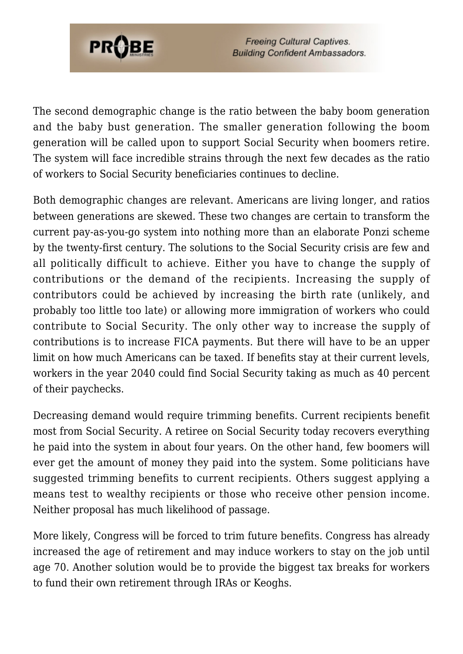

The second demographic change is the ratio between the baby boom generation and the baby bust generation. The smaller generation following the boom generation will be called upon to support Social Security when boomers retire. The system will face incredible strains through the next few decades as the ratio of workers to Social Security beneficiaries continues to decline.

Both demographic changes are relevant. Americans are living longer, and ratios between generations are skewed. These two changes are certain to transform the current pay-as-you-go system into nothing more than an elaborate Ponzi scheme by the twenty-first century. The solutions to the Social Security crisis are few and all politically difficult to achieve. Either you have to change the supply of contributions or the demand of the recipients. Increasing the supply of contributors could be achieved by increasing the birth rate (unlikely, and probably too little too late) or allowing more immigration of workers who could contribute to Social Security. The only other way to increase the supply of contributions is to increase FICA payments. But there will have to be an upper limit on how much Americans can be taxed. If benefits stay at their current levels, workers in the year 2040 could find Social Security taking as much as 40 percent of their paychecks.

Decreasing demand would require trimming benefits. Current recipients benefit most from Social Security. A retiree on Social Security today recovers everything he paid into the system in about four years. On the other hand, few boomers will ever get the amount of money they paid into the system. Some politicians have suggested trimming benefits to current recipients. Others suggest applying a means test to wealthy recipients or those who receive other pension income. Neither proposal has much likelihood of passage.

More likely, Congress will be forced to trim future benefits. Congress has already increased the age of retirement and may induce workers to stay on the job until age 70. Another solution would be to provide the biggest tax breaks for workers to fund their own retirement through IRAs or Keoghs.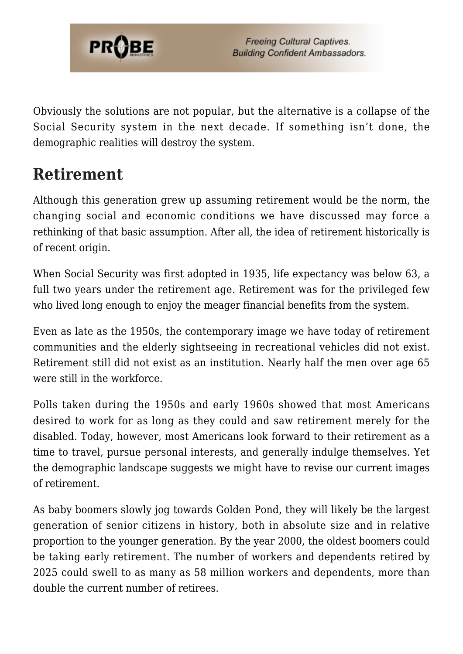

Obviously the solutions are not popular, but the alternative is a collapse of the Social Security system in the next decade. If something isn't done, the demographic realities will destroy the system.

## **Retirement**

Although this generation grew up assuming retirement would be the norm, the changing social and economic conditions we have discussed may force a rethinking of that basic assumption. After all, the idea of retirement historically is of recent origin.

When Social Security was first adopted in 1935, life expectancy was below 63, a full two years under the retirement age. Retirement was for the privileged few who lived long enough to enjoy the meager financial benefits from the system.

Even as late as the 1950s, the contemporary image we have today of retirement communities and the elderly sightseeing in recreational vehicles did not exist. Retirement still did not exist as an institution. Nearly half the men over age 65 were still in the workforce.

Polls taken during the 1950s and early 1960s showed that most Americans desired to work for as long as they could and saw retirement merely for the disabled. Today, however, most Americans look forward to their retirement as a time to travel, pursue personal interests, and generally indulge themselves. Yet the demographic landscape suggests we might have to revise our current images of retirement.

As baby boomers slowly jog towards Golden Pond, they will likely be the largest generation of senior citizens in history, both in absolute size and in relative proportion to the younger generation. By the year 2000, the oldest boomers could be taking early retirement. The number of workers and dependents retired by 2025 could swell to as many as 58 million workers and dependents, more than double the current number of retirees.